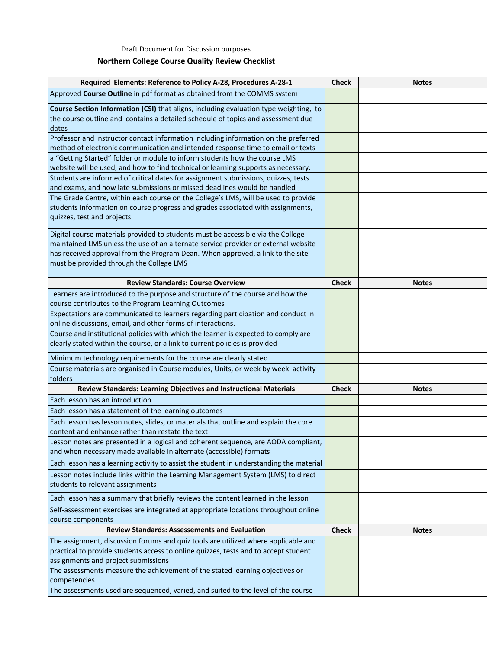Draft Document for Discussion purposes

## **Northern College Course Quality Review Checklist**

| Required Elements: Reference to Policy A-28, Procedures A-28-1                                                                                                                                                                                                                                       | <b>Check</b> | <b>Notes</b> |
|------------------------------------------------------------------------------------------------------------------------------------------------------------------------------------------------------------------------------------------------------------------------------------------------------|--------------|--------------|
| Approved Course Outline in pdf format as obtained from the COMMS system                                                                                                                                                                                                                              |              |              |
| Course Section Information (CSI) that aligns, including evaluation type weighting, to<br>the course outline and contains a detailed schedule of topics and assessment due<br>dates                                                                                                                   |              |              |
| Professor and instructor contact information including information on the preferred                                                                                                                                                                                                                  |              |              |
| method of electronic communication and intended response time to email or texts                                                                                                                                                                                                                      |              |              |
| a "Getting Started" folder or module to inform students how the course LMS                                                                                                                                                                                                                           |              |              |
| website will be used, and how to find technical or learning supports as necessary.                                                                                                                                                                                                                   |              |              |
| Students are informed of critical dates for assignment submissions, quizzes, tests                                                                                                                                                                                                                   |              |              |
| and exams, and how late submissions or missed deadlines would be handled                                                                                                                                                                                                                             |              |              |
| The Grade Centre, within each course on the College's LMS, will be used to provide<br>students information on course progress and grades associated with assignments,<br>quizzes, test and projects                                                                                                  |              |              |
| Digital course materials provided to students must be accessible via the College<br>maintained LMS unless the use of an alternate service provider or external website<br>has received approval from the Program Dean. When approved, a link to the site<br>must be provided through the College LMS |              |              |
| <b>Review Standards: Course Overview</b>                                                                                                                                                                                                                                                             | <b>Check</b> | <b>Notes</b> |
| Learners are introduced to the purpose and structure of the course and how the<br>course contributes to the Program Learning Outcomes                                                                                                                                                                |              |              |
| Expectations are communicated to learners regarding participation and conduct in                                                                                                                                                                                                                     |              |              |
| online discussions, email, and other forms of interactions.                                                                                                                                                                                                                                          |              |              |
| Course and institutional policies with which the learner is expected to comply are                                                                                                                                                                                                                   |              |              |
| clearly stated within the course, or a link to current policies is provided                                                                                                                                                                                                                          |              |              |
| Minimum technology requirements for the course are clearly stated                                                                                                                                                                                                                                    |              |              |
| Course materials are organised in Course modules, Units, or week by week activity<br>folders                                                                                                                                                                                                         |              |              |
| Review Standards: Learning Objectives and Instructional Materials                                                                                                                                                                                                                                    | <b>Check</b> | <b>Notes</b> |
| Each lesson has an introduction                                                                                                                                                                                                                                                                      |              |              |
| Each lesson has a statement of the learning outcomes                                                                                                                                                                                                                                                 |              |              |
| Each lesson has lesson notes, slides, or materials that outline and explain the core<br>content and enhance rather than restate the text                                                                                                                                                             |              |              |
| Lesson notes are presented in a logical and coherent sequence, are AODA compliant,<br>and when necessary made available in alternate (accessible) formats                                                                                                                                            |              |              |
| Each lesson has a learning activity to assist the student in understanding the material                                                                                                                                                                                                              |              |              |
| Lesson notes include links within the Learning Management System (LMS) to direct                                                                                                                                                                                                                     |              |              |
| students to relevant assignments                                                                                                                                                                                                                                                                     |              |              |
| Each lesson has a summary that briefly reviews the content learned in the lesson                                                                                                                                                                                                                     |              |              |
| Self-assessment exercises are integrated at appropriate locations throughout online                                                                                                                                                                                                                  |              |              |
| course components                                                                                                                                                                                                                                                                                    |              |              |
| <b>Review Standards: Assessements and Evaluation</b>                                                                                                                                                                                                                                                 | <b>Check</b> | <b>Notes</b> |
| The assignment, discussion forums and quiz tools are utilized where applicable and                                                                                                                                                                                                                   |              |              |
| practical to provide students access to online quizzes, tests and to accept student                                                                                                                                                                                                                  |              |              |
| assignments and project submissions                                                                                                                                                                                                                                                                  |              |              |
| The assessments measure the achievement of the stated learning objectives or<br>competencies                                                                                                                                                                                                         |              |              |
| The assessments used are sequenced, varied, and suited to the level of the course                                                                                                                                                                                                                    |              |              |